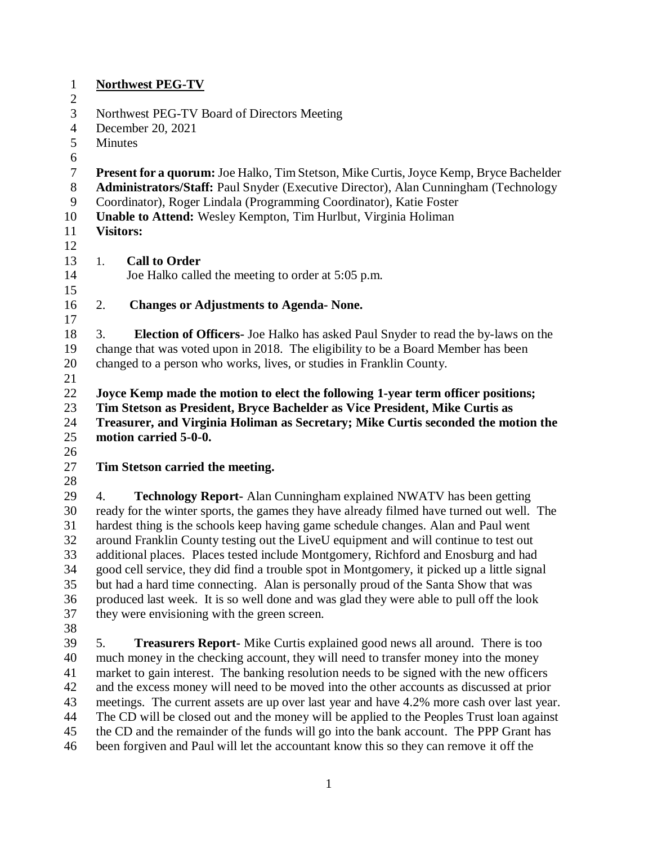|                            | <b>Northwest PEG-TV</b>                                                                                                                                                          |  |  |
|----------------------------|----------------------------------------------------------------------------------------------------------------------------------------------------------------------------------|--|--|
| $\overline{2}$             |                                                                                                                                                                                  |  |  |
| 3                          | Northwest PEG-TV Board of Directors Meeting                                                                                                                                      |  |  |
| $\overline{4}$             | December 20, 2021                                                                                                                                                                |  |  |
| 5                          | Minutes                                                                                                                                                                          |  |  |
| 6                          |                                                                                                                                                                                  |  |  |
| $\tau$                     | <b>Present for a quorum:</b> Joe Halko, Tim Stetson, Mike Curtis, Joyce Kemp, Bryce Bachelder                                                                                    |  |  |
| $8\,$                      | <b>Administrators/Staff:</b> Paul Snyder (Executive Director), Alan Cunningham (Technology                                                                                       |  |  |
| 9                          | Coordinator), Roger Lindala (Programming Coordinator), Katie Foster                                                                                                              |  |  |
| 10                         | Unable to Attend: Wesley Kempton, Tim Hurlbut, Virginia Holiman                                                                                                                  |  |  |
| 11                         | <b>Visitors:</b>                                                                                                                                                                 |  |  |
| 12                         |                                                                                                                                                                                  |  |  |
| 13                         | <b>Call to Order</b><br>1.                                                                                                                                                       |  |  |
| 14                         | Joe Halko called the meeting to order at 5:05 p.m.                                                                                                                               |  |  |
| 15                         |                                                                                                                                                                                  |  |  |
| 16                         | 2.<br><b>Changes or Adjustments to Agenda- None.</b>                                                                                                                             |  |  |
| 17                         |                                                                                                                                                                                  |  |  |
| 18                         | 3.<br><b>Election of Officers-</b> Joe Halko has asked Paul Snyder to read the by-laws on the                                                                                    |  |  |
| 19                         | change that was voted upon in 2018. The eligibility to be a Board Member has been                                                                                                |  |  |
| 20                         | changed to a person who works, lives, or studies in Franklin County.                                                                                                             |  |  |
| 21                         |                                                                                                                                                                                  |  |  |
| 22                         | Joyce Kemp made the motion to elect the following 1-year term officer positions;                                                                                                 |  |  |
| 23                         | Tim Stetson as President, Bryce Bachelder as Vice President, Mike Curtis as                                                                                                      |  |  |
| 24                         | Treasurer, and Virginia Holiman as Secretary; Mike Curtis seconded the motion the                                                                                                |  |  |
| 25                         | motion carried 5-0-0.                                                                                                                                                            |  |  |
| 26                         |                                                                                                                                                                                  |  |  |
|                            |                                                                                                                                                                                  |  |  |
|                            |                                                                                                                                                                                  |  |  |
|                            | Tim Stetson carried the meeting.                                                                                                                                                 |  |  |
|                            |                                                                                                                                                                                  |  |  |
| 29                         | <b>Technology Report-</b> Alan Cunningham explained NWATV has been getting<br>4.                                                                                                 |  |  |
| 30                         | ready for the winter sports, the games they have already filmed have turned out well. The                                                                                        |  |  |
|                            | hardest thing is the schools keep having game schedule changes. Alan and Paul went                                                                                               |  |  |
|                            | around Franklin County testing out the LiveU equipment and will continue to test out                                                                                             |  |  |
| 33                         | additional places. Places tested include Montgomery, Richford and Enosburg and had                                                                                               |  |  |
| 34                         | good cell service, they did find a trouble spot in Montgomery, it picked up a little signal                                                                                      |  |  |
| 35                         | but had a hard time connecting. Alan is personally proud of the Santa Show that was                                                                                              |  |  |
| 36                         | produced last week. It is so well done and was glad they were able to pull off the look                                                                                          |  |  |
| 27<br>28<br>31<br>32<br>37 | they were envisioning with the green screen.                                                                                                                                     |  |  |
| 38                         |                                                                                                                                                                                  |  |  |
| 39                         | 5.<br><b>Treasurers Report-</b> Mike Curtis explained good news all around. There is too                                                                                         |  |  |
| 40                         | much money in the checking account, they will need to transfer money into the money                                                                                              |  |  |
| 41                         | market to gain interest. The banking resolution needs to be signed with the new officers                                                                                         |  |  |
| 42                         | and the excess money will need to be moved into the other accounts as discussed at prior                                                                                         |  |  |
| 43                         | meetings. The current assets are up over last year and have 4.2% more cash over last year.                                                                                       |  |  |
| 44                         | The CD will be closed out and the money will be applied to the Peoples Trust loan against                                                                                        |  |  |
| 45<br>46                   | the CD and the remainder of the funds will go into the bank account. The PPP Grant has<br>been forgiven and Paul will let the accountant know this so they can remove it off the |  |  |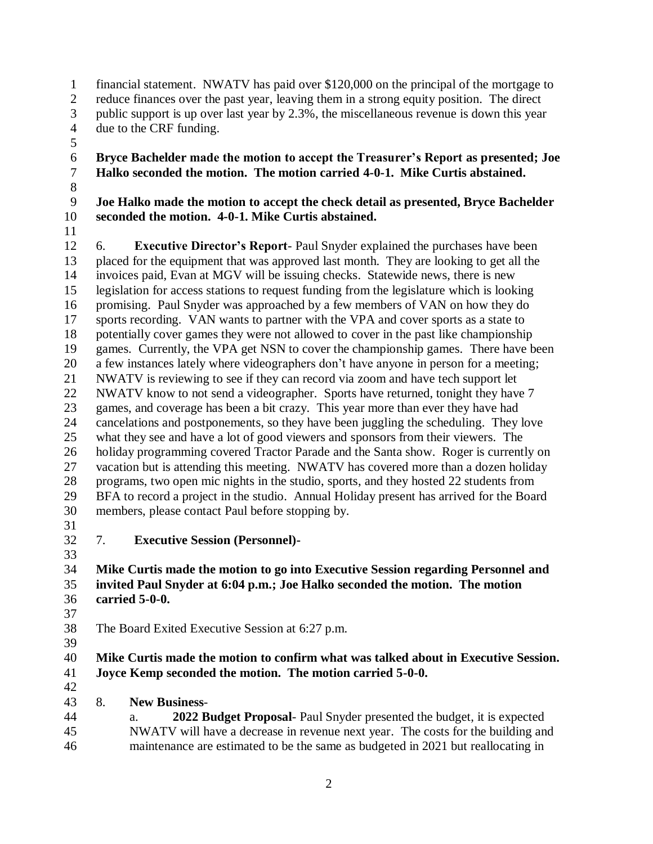- financial statement. NWATV has paid over \$120,000 on the principal of the mortgage to
- reduce finances over the past year, leaving them in a strong equity position. The direct
- public support is up over last year by 2.3%, the miscellaneous revenue is down this year
- due to the CRF funding.
- 

### **Bryce Bachelder made the motion to accept the Treasurer's Report as presented; Joe Halko seconded the motion. The motion carried 4-0-1. Mike Curtis abstained.**

# **Joe Halko made the motion to accept the check detail as presented, Bryce Bachelder seconded the motion. 4-0-1. Mike Curtis abstained.**

 6. **Executive Director's Report**- Paul Snyder explained the purchases have been placed for the equipment that was approved last month. They are looking to get all the invoices paid, Evan at MGV will be issuing checks. Statewide news, there is new legislation for access stations to request funding from the legislature which is looking promising. Paul Snyder was approached by a few members of VAN on how they do sports recording. VAN wants to partner with the VPA and cover sports as a state to potentially cover games they were not allowed to cover in the past like championship games. Currently, the VPA get NSN to cover the championship games. There have been a few instances lately where videographers don't have anyone in person for a meeting; NWATV is reviewing to see if they can record via zoom and have tech support let NWATV know to not send a videographer. Sports have returned, tonight they have 7 games, and coverage has been a bit crazy. This year more than ever they have had cancelations and postponements, so they have been juggling the scheduling. They love what they see and have a lot of good viewers and sponsors from their viewers. The holiday programming covered Tractor Parade and the Santa show. Roger is currently on vacation but is attending this meeting. NWATV has covered more than a dozen holiday programs, two open mic nights in the studio, sports, and they hosted 22 students from BFA to record a project in the studio. Annual Holiday present has arrived for the Board members, please contact Paul before stopping by.

 $\frac{31}{32}$ 

7. **Executive Session (Personnel)-**

- **Mike Curtis made the motion to go into Executive Session regarding Personnel and invited Paul Snyder at 6:04 p.m.; Joe Halko seconded the motion. The motion carried 5-0-0.**
- 
- 
- The Board Exited Executive Session at 6:27 p.m.

#### **Mike Curtis made the motion to confirm what was talked about in Executive Session. Joyce Kemp seconded the motion. The motion carried 5-0-0.**

- 8. **New Business**-
- a. **2022 Budget Proposal** Paul Snyder presented the budget, it is expected NWATV will have a decrease in revenue next year. The costs for the building and maintenance are estimated to be the same as budgeted in 2021 but reallocating in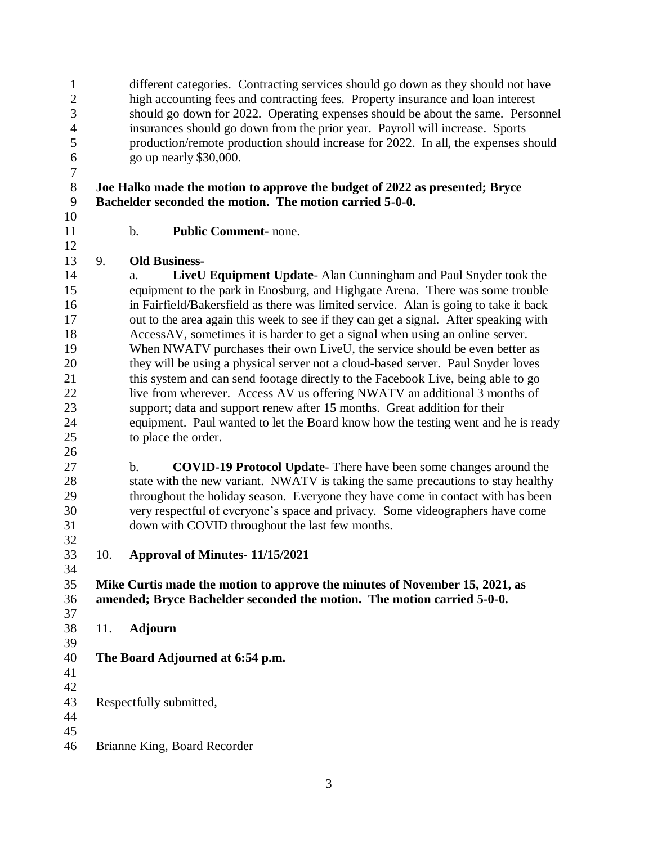different categories. Contracting services should go down as they should not have high accounting fees and contracting fees. Property insurance and loan interest should go down for 2022. Operating expenses should be about the same. Personnel insurances should go down from the prior year. Payroll will increase. Sports production/remote production should increase for 2022. In all, the expenses should go up nearly \$30,000.

#### **Joe Halko made the motion to approve the budget of 2022 as presented; Bryce Bachelder seconded the motion. The motion carried 5-0-0.**

b. **Public Comment-** none.

## 9. **Old Business-**

 a. **LiveU Equipment Update**- Alan Cunningham and Paul Snyder took the equipment to the park in Enosburg, and Highgate Arena. There was some trouble in Fairfield/Bakersfield as there was limited service. Alan is going to take it back out to the area again this week to see if they can get a signal. After speaking with AccessAV, sometimes it is harder to get a signal when using an online server. When NWATV purchases their own LiveU, the service should be even better as they will be using a physical server not a cloud-based server. Paul Snyder loves this system and can send footage directly to the Facebook Live, being able to go 22 live from wherever. Access AV us offering NWATV an additional 3 months of support; data and support renew after 15 months. Great addition for their equipment. Paul wanted to let the Board know how the testing went and he is ready to place the order.

- b. **COVID-19 Protocol Update** There have been some changes around the state with the new variant. NWATV is taking the same precautions to stay healthy throughout the holiday season. Everyone they have come in contact with has been very respectful of everyone's space and privacy. Some videographers have come down with COVID throughout the last few months.
- 

10. **Approval of Minutes- 11/15/2021**

 **Mike Curtis made the motion to approve the minutes of November 15, 2021, as amended; Bryce Bachelder seconded the motion. The motion carried 5-0-0.** 

 11. **Adjourn** 

# **The Board Adjourned at 6:54 p.m.**

- 
- Respectfully submitted,
- 
- 
- Brianne King, Board Recorder